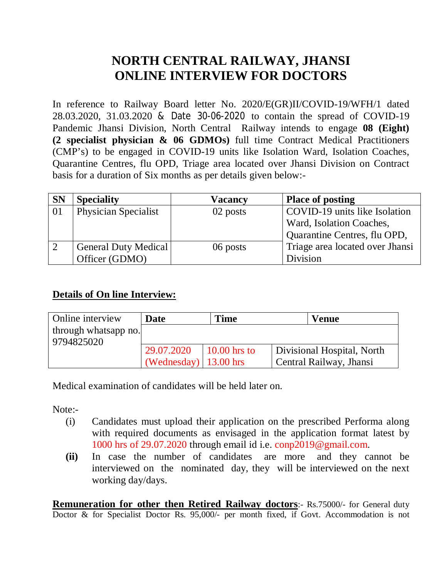# **NORTH CENTRAL RAILWAY, JHANSI ONLINE INTERVIEW FOR DOCTORS**

In reference to Railway Board letter No. 2020/E(GR)II/COVID-19/WFH/1 dated 28.03.2020, 31.03.2020 & Date 30-06-2020 to contain the spread of COVID-19 Pandemic Jhansi Division, North Central Railway intends to engage **08 (Eight) (2 specialist physician & 06 GDMOs)** full time Contract Medical Practitioners (CMP's) to be engaged in COVID-19 units like Isolation Ward, Isolation Coaches, Quarantine Centres, flu OPD, Triage area located over Jhansi Division on Contract basis for a duration of Six months as per details given below:-

| <b>SN</b> | <b>Speciality</b>           | Vacancy  | <b>Place of posting</b>         |  |
|-----------|-----------------------------|----------|---------------------------------|--|
| 01        | <b>Physician Specialist</b> | 02 posts | COVID-19 units like Isolation   |  |
|           |                             |          | Ward, Isolation Coaches,        |  |
|           |                             |          | Quarantine Centres, flu OPD,    |  |
|           | <b>General Duty Medical</b> | 06 posts | Triage area located over Jhansi |  |
|           | Officer (GDMO)              |          | Division                        |  |

# **Details of On line Interview:**

| Online interview     | Date                              | <b>Time</b> | <b>Venue</b>               |
|----------------------|-----------------------------------|-------------|----------------------------|
| through whatsapp no. |                                   |             |                            |
| 9794825020           |                                   |             |                            |
|                      | $10.00 \text{ hrs}$ to            |             | Divisional Hospital, North |
|                      | (Wednesday) $  13.00 \text{ hrs}$ |             | Central Railway, Jhansi    |

Medical examination of candidates will be held later on.

Note:-

- (i) Candidates must upload their application on the prescribed Performa along with required documents as envisaged in the application format latest by 1000 hrs of 29.07.2020 through email id i.e. [conp2019@gmail.com.](mailto:conp2019@gmail.com.)
- **(ii)** In case the number of candidates are more and they cannot be interviewed on the nominated day, they will be interviewed on the next working day/days.

**Remuneration for other then Retired Railway doctors**:- Rs.75000/- for General duty Doctor & for Specialist Doctor Rs. 95,000/- per month fixed, if Govt. Accommodation is not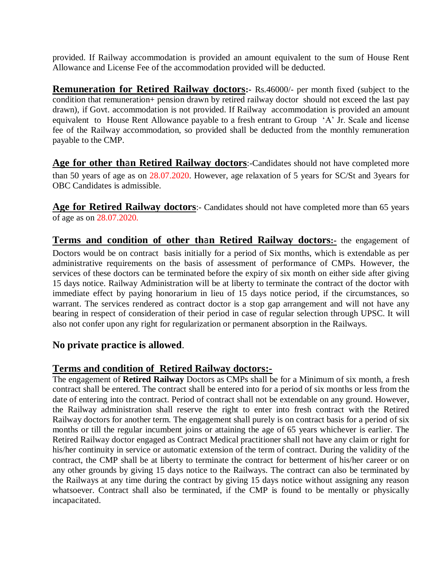provided. If Railway accommodation is provided an amount equivalent to the sum of House Rent Allowance and License Fee of the accommodation provided will be deducted.

**Remuneration for Retired Railway doctors:-** Rs.46000/- per month fixed (subject to the condition that remuneration+ pension drawn by retired railway doctor should not exceed the last pay drawn), if Govt. accommodation is not provided. If Railway accommodation is provided an amount equivalent to House Rent Allowance payable to a fresh entrant to Group 'A' Jr. Scale and license fee of the Railway accommodation, so provided shall be deducted from the monthly remuneration payable to the CMP.

Age for other than Retired Railway doctors:-Candidates should not have completed more than 50 years of age as on 28.07.2020. However, age relaxation of 5 years for SC/St and 3years for OBC Candidates is admissible.

Age for Retired Railway doctors:- Candidates should not have completed more than 65 years of age as on 28.07.2020.

**Terms and condition of other th**a**n Retired Railway doctors:-** the engagement of Doctors would be on contract basis initially for a period of Six months, which is extendable as per administrative requirements on the basis of assessment of performance of CMPs. However, the services of these doctors can be terminated before the expiry of six month on either side after giving 15 days notice. Railway Administration will be at liberty to terminate the contract of the doctor with immediate effect by paying honorarium in lieu of 15 days notice period, if the circumstances, so warrant. The services rendered as contract doctor is a stop gap arrangement and will not have any bearing in respect of consideration of their period in case of regular selection through UPSC. It will also not confer upon any right for regularization or permanent absorption in the Railways.

## **No private practice is allowed**.

## **Terms and condition of Retired Railway doctors:-**

The engagement of **Retired Railway** Doctors as CMPs shall be for a Minimum of six month, a fresh contract shall be entered. The contract shall be entered into for a period of six months or less from the date of entering into the contract. Period of contract shall not be extendable on any ground. However, the Railway administration shall reserve the right to enter into fresh contract with the Retired Railway doctors for another term. The engagement shall purely is on contract basis for a period of six months or till the regular incumbent joins or attaining the age of 65 years whichever is earlier. The Retired Railway doctor engaged as Contract Medical practitioner shall not have any claim or right for his/her continuity in service or automatic extension of the term of contract. During the validity of the contract, the CMP shall be at liberty to terminate the contract for betterment of his/her career or on any other grounds by giving 15 days notice to the Railways. The contract can also be terminated by the Railways at any time during the contract by giving 15 days notice without assigning any reason whatsoever. Contract shall also be terminated, if the CMP is found to be mentally or physically incapacitated.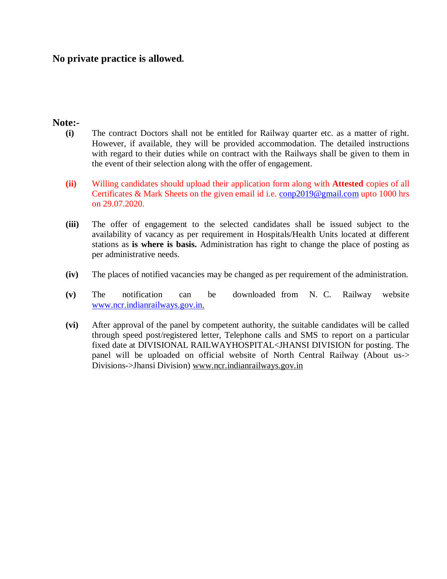## **No private practice is allowed.**

### **Note:-**

- **(i)** The contract Doctors shall not be entitled for Railway quarter etc. as a matter of right. However, if available, they will be provided accommodation. The detailed instructions with regard to their duties while on contract with the Railways shall be given to them in the event of their selection along with the offer of engagement.
- **(ii)** Willing candidates should upload their application form along with **Attested** copies of all Certificates & Mark Sheets on the given email id i.e. [conp2019@gmail.com](mailto:conp2019@gmail.com) upto 1000 hrs on 29.07.2020.
- **(iii)** The offer of engagement to the selected candidates shall be issued subject to the availability of vacancy as per requirement in Hospitals/Health Units located at different stations as **is where is basis.** Administration has right to change the place of posting as per administrative needs.
- **(iv)** The places of notified vacancies may be changed as per requirement of the administration.
- **(v)** The notification can be downloaded from N. C. Railway website [www.ncr.indianrailways.gov.in.](http://www.ncr.indianrailways.gov.in.)
- **(vi)** After approval of the panel by competent authority, the suitable candidates will be called through speed post/registered letter, Telephone calls and SMS to report on a particular fixed date at DIVISIONAL RAILWAYHOSPITAL<JHANSI DIVISION for posting. The panel will be uploaded on official website of North Central Railway (About us-> Divisions->Jhansi Division) [www.ncr.indianrailways.gov.in](http://www.ncr.indianrailways.gov.in)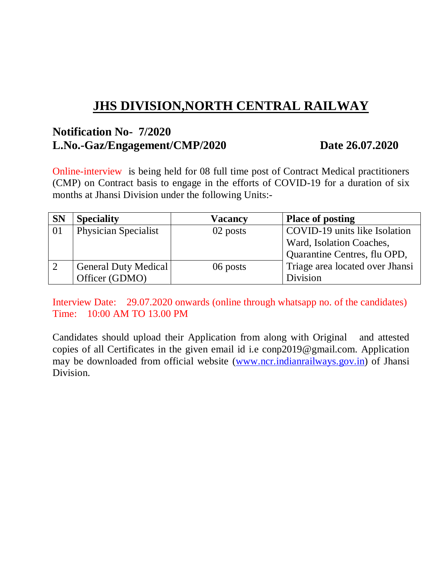# **JHS DIVISION,NORTH CENTRAL RAILWAY**

# **Notification No- 7/2020 L.No.-Gaz/Engagement/CMP/2020 Date 26.07.2020**

Online-interview is being held for 08 full time post of Contract Medical practitioners (CMP) on Contract basis to engage in the efforts of COVID-19 for a duration of six months at Jhansi Division under the following Units:-

| <b>SN</b> | <b>Speciality</b>           | <b>Vacancy</b> | <b>Place of posting</b>         |  |
|-----------|-----------------------------|----------------|---------------------------------|--|
| 01        | <b>Physician Specialist</b> | 02 posts       | COVID-19 units like Isolation   |  |
|           |                             |                | Ward, Isolation Coaches,        |  |
|           |                             |                | Quarantine Centres, flu OPD,    |  |
|           | <b>General Duty Medical</b> | 06 posts       | Triage area located over Jhansi |  |
|           | Officer (GDMO)              |                | Division                        |  |

Interview Date: 29.07.2020 onwards (online through whatsapp no. of the candidates) Time: 10:00 AM TO 13.00 PM

Candidates should upload their Application from along with Original and attested copies of all Certificates in the given email id i.e [conp2019@gmail.com.](mailto:conp2019@gmail.com.) Application may be downloaded from official website [\(www.ncr.indianrailways.gov.in\)](http://www.ncr.indianrailways.gov.in)) of Jhansi Division.